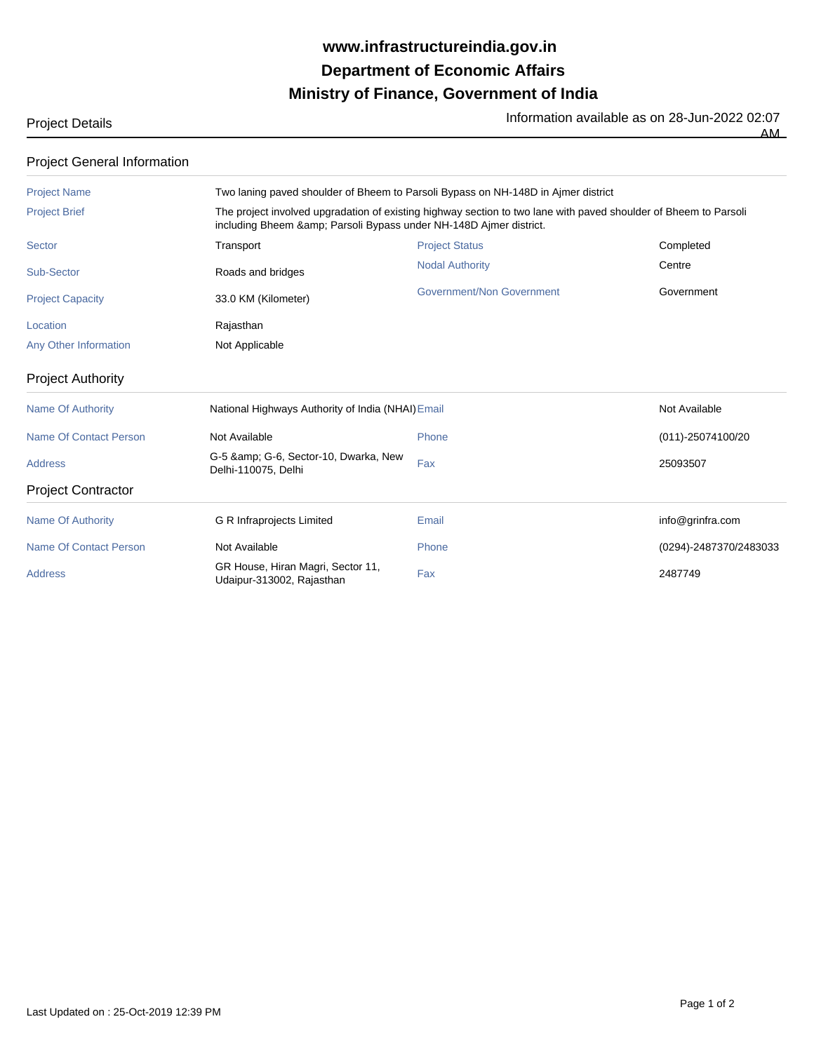## **Ministry of Finance, Government of India Department of Economic Affairs www.infrastructureindia.gov.in**

Project Details **Information available as on 28-Jun-2022 02:07**  $AM$ 

| <b>Project General Information</b> |                                                                                                                                                                                                                                                                              |                           |                        |  |  |  |
|------------------------------------|------------------------------------------------------------------------------------------------------------------------------------------------------------------------------------------------------------------------------------------------------------------------------|---------------------------|------------------------|--|--|--|
| <b>Project Name</b>                | Two laning paved shoulder of Bheem to Parsoli Bypass on NH-148D in Ajmer district<br>The project involved upgradation of existing highway section to two lane with paved shoulder of Bheem to Parsoli<br>including Bheem & amp; Parsoli Bypass under NH-148D Aimer district. |                           |                        |  |  |  |
| <b>Project Brief</b>               |                                                                                                                                                                                                                                                                              |                           |                        |  |  |  |
| <b>Sector</b>                      | Transport                                                                                                                                                                                                                                                                    | <b>Project Status</b>     | Completed              |  |  |  |
| Sub-Sector                         | Roads and bridges                                                                                                                                                                                                                                                            | <b>Nodal Authority</b>    | Centre                 |  |  |  |
| <b>Project Capacity</b>            | 33.0 KM (Kilometer)                                                                                                                                                                                                                                                          | Government/Non Government | Government             |  |  |  |
| Location                           | Rajasthan                                                                                                                                                                                                                                                                    |                           |                        |  |  |  |
| Any Other Information              | Not Applicable                                                                                                                                                                                                                                                               |                           |                        |  |  |  |
| <b>Project Authority</b>           |                                                                                                                                                                                                                                                                              |                           |                        |  |  |  |
| <b>Name Of Authority</b>           | National Highways Authority of India (NHAI) Email                                                                                                                                                                                                                            |                           | Not Available          |  |  |  |
| Name Of Contact Person             | Not Available                                                                                                                                                                                                                                                                | Phone                     | (011)-25074100/20      |  |  |  |
| <b>Address</b>                     | G-5 & G-6, Sector-10, Dwarka, New<br>Delhi-110075, Delhi                                                                                                                                                                                                                     | Fax                       | 25093507               |  |  |  |
| <b>Project Contractor</b>          |                                                                                                                                                                                                                                                                              |                           |                        |  |  |  |
| <b>Name Of Authority</b>           | G R Infraprojects Limited                                                                                                                                                                                                                                                    | Email                     | info@grinfra.com       |  |  |  |
| <b>Name Of Contact Person</b>      | Not Available                                                                                                                                                                                                                                                                | Phone                     | (0294)-2487370/2483033 |  |  |  |
| <b>Address</b>                     | GR House, Hiran Magri, Sector 11,<br>Udaipur-313002, Rajasthan                                                                                                                                                                                                               | Fax                       | 2487749                |  |  |  |